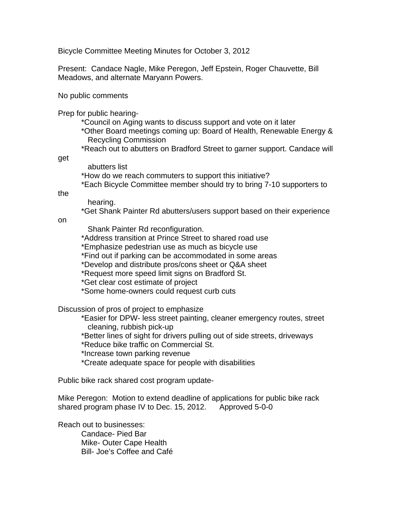Bicycle Committee Meeting Minutes for October 3, 2012

Present: Candace Nagle, Mike Peregon, Jeff Epstein, Roger Chauvette, Bill Meadows, and alternate Maryann Powers.

No public comments

Prep for public hearing-

- \*Council on Aging wants to discuss support and vote on it later
- \*Other Board meetings coming up: Board of Health, Renewable Energy & Recycling Commission
- \*Reach out to abutters on Bradford Street to garner support. Candace will

get

 abutters list \*How do we reach commuters to support this initiative? \*Each Bicycle Committee member should try to bring 7-10 supporters to

the

hearing.

\*Get Shank Painter Rd abutters/users support based on their experience

on

Shank Painter Rd reconfiguration.

\*Address transition at Prince Street to shared road use

\*Emphasize pedestrian use as much as bicycle use

\*Find out if parking can be accommodated in some areas

\*Develop and distribute pros/cons sheet or Q&A sheet

\*Request more speed limit signs on Bradford St.

\*Get clear cost estimate of project

\*Some home-owners could request curb cuts

Discussion of pros of project to emphasize

 \*Easier for DPW- less street painting, cleaner emergency routes, street cleaning, rubbish pick-up

\*Better lines of sight for drivers pulling out of side streets, driveways

\*Reduce bike traffic on Commercial St.

\*Increase town parking revenue

\*Create adequate space for people with disabilities

Public bike rack shared cost program update-

Mike Peregon: Motion to extend deadline of applications for public bike rack shared program phase IV to Dec. 15, 2012. Approved 5-0-0

Reach out to businesses: Candace- Pied Bar Mike- Outer Cape Health Bill- Joe's Coffee and Café